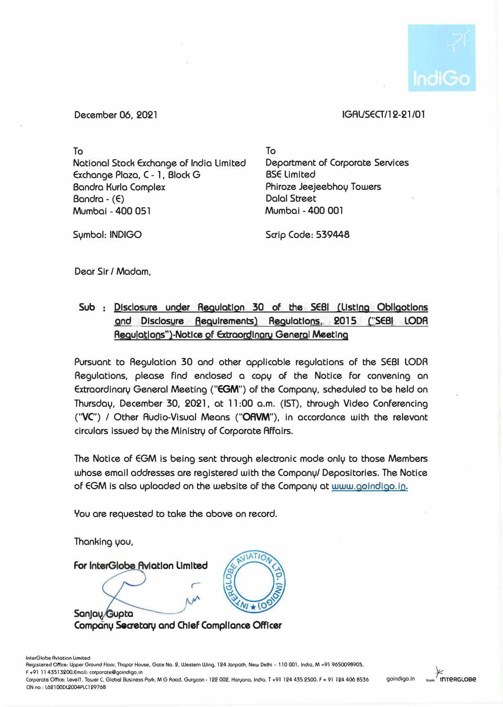

## December 06, 2021

## IGAVSECT/12-21 /01

To National Stock Exchange of India Limited Exchange Plaza, C - 1, Block G Bandra Kurla Complex  $Bandra - (E)$ Mumbai - 400 051

To Department of Corporate Services BSE Limited Phiroze Jeejeebhoy Towers Dalal Street Mumbai - 400 001

Symbol: INDIGO

Scrip Code: 539448

Dear Sir / Madam,

# **Sub Disclosure under Regulation 30 of the SEBI (Listing Obllgotlons and Dlsclosure Requirements) Regulatlons, 2015 ("SEBI LODA Requiptions")-Notice of Extraordinary General Meeting**

Pursuant to Regulation 30 and other applicable regulations of the SEBI LODA Regulations, please find enclosed a copy of the Notice for convening an Extraordinary General Meeting ("EGM") of the Company, scheduled to be held on Thursday, December 30, 2021, at 11 :00 a.m. (1ST). through Video Conferencing **("VC")** *I* Other Audio-Visual Means **("OAVM"),** in accordance with the relevant circulars issued by the Ministry of Corporate Affairs.

The Notice of EGM is being sent through electronic mode only to those Members whose email addresses are registered with the Company/ Depositories. The Notice of EGM is also uploaded on the website of the Company at www.goindigo.in.

You are requested to take the above on record.

Thanking you,

**JIATIO** For InterGlobe Aviotion Limited *r*  Sanjay/Gupta **Company Seaetary and Chief Compliance Officer** 



Corporate Office: Levell, Tower C, Global Business Park, M G Road, Gurgoon • 122 002, Harvana, India. T +91 124 435 2500. F + 91 124 406 6536 C\N no.: l62100D1.2004f'LC129766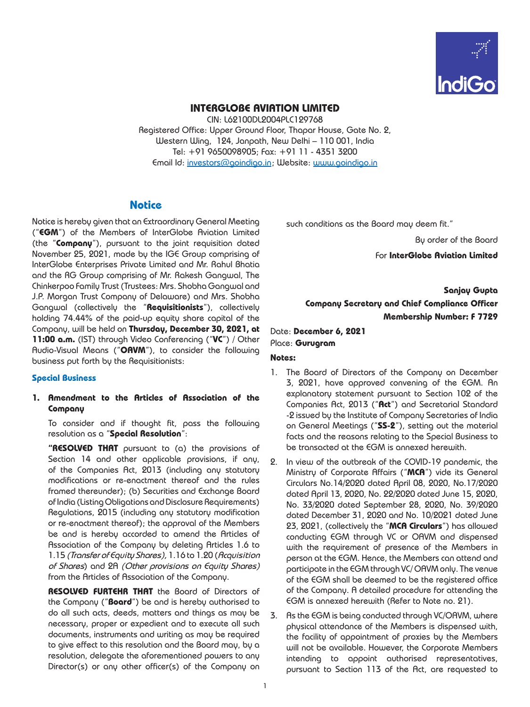

### **INTERGLOBE AVIATION LIMITED**

CIN: L62100DL2004PLC129768 Registered Office: Upper Ground Floor, Thapar House, Gate No. 2, Western Wing, 124, Janpath, New Delhi – 110 001, India Tel: +91 9650098905; Fax: +91 11 - 4351 3200 Email Id: [investors@goindigo.in](mailto:investors@goindigo.in) ; Website: [www.goindigo.in](http://www.goindigo.in)

## **Notice**

Notice is hereby given that an Extraordinary General Meeting ("**EGM**") of the Members of InterGlobe Aviation Limited (the "**Company**"), pursuant to the joint requisition dated November 25, 2021, made by the IGE Group comprising of InterGlobe Enterprises Private Limited and Mr. Rahul Bhatia and the RG Group comprising of Mr. Rakesh Gangwal, The Chinkerpoo Family Trust (Trustees: Mrs. Shobha Gangwal and J.P. Morgan Trust Company of Delaware) and Mrs. Shobha Gangwal (collectively the "**Requisitionists**"), collectively holding 74.44% of the paid-up equity share capital of the Company, will be held on **Thursday, December 30, 2021, at 11:00 a.m.** (IST) through Video Conferencing ("**VC**") / Other Audio-Visual Means ("**OAVM**"), to consider the following business put forth by the Requisitionists:

### **Special Business**

**1. Amendment to the Articles of Association of the Company** 

To consider and if thought fit, pass the following resolution as a "**Special Resolution**":

**"RESOLVED THAT** pursuant to (a) the provisions of Section 14 and other applicable provisions, if any, of the Companies Act, 2013 (including any statutory modifications or re-enactment thereof and the rules framed thereunder); (b) Securities and Exchange Board of India (Listing Obligations and Disclosure Requirements) Regulations, 2015 (including any statutory modification or re-enactment thereof); the approval of the Members be and is hereby accorded to amend the Articles of Association of the Company by deleting Articles 1.6 to 1.15 *(Transfer of Equity Shares),* 1.16 to 1.20 (*Acquisition of Shares*) and 2A *(Other provisions on Equity Shares)*  from the Articles of Association of the Company.

**RESOLVED FURTEHR THAT** the Board of Directors of the Company ("**Board**") be and is hereby authorised to do all such acts, deeds, matters and things as may be necessary, proper or expedient and to execute all such documents, instruments and writing as may be required to give effect to this resolution and the Board may, by a resolution, delegate the aforementioned powers to any Director(s) or any other officer(s) of the Company on such conditions as the Board may deem fit."

By order of the Board

For **InterGlobe Aviation Limited**

**Sanjay Gupta Company Secretary and Chief Compliance Officer Membership Number: F 7729**

Date: **December 6, 2021** Place: **Gurugram**

#### **Notes:**

- 1. The Board of Directors of the Company on December 3, 2021, have approved convening of the EGM. An explanatory statement pursuant to Section 102 of the Companies Act, 2013 ("**Act**") and Secretarial Standard -2 issued by the Institute of Company Secretaries of India on General Meetings ("**SS-2**"), setting out the material facts and the reasons relating to the Special Business to be transacted at the EGM is annexed herewith.
- 2. In view of the outbreak of the COVID-19 pandemic, the Ministry of Corporate Affairs ("**MCA**") vide its General Circulars No.14/2020 dated April 08, 2020, No.17/2020 dated April 13, 2020, No. 22/2020 dated June 15, 2020, No. 33/2020 dated September 28, 2020, No. 39/2020 dated December 31, 2020 and No. 10/2021 dated June 23, 2021, (collectively the "**MCA Circulars**") has allowed conducting EGM through VC or OAVM and dispensed with the requirement of presence of the Members in person at the EGM. Hence, the Members can attend and participate in the EGM through VC/ OAVM only. The venue of the EGM shall be deemed to be the registered office of the Company. A detailed procedure for attending the EGM is annexed herewith (Refer to Note no. 21).
- 3. As the EGM is being conducted through VC/OAVM, where physical attendance of the Members is dispensed with, the facility of appointment of proxies by the Members will not be available. However, the Corporate Members intending to appoint authorised representatives, pursuant to Section 113 of the Act, are requested to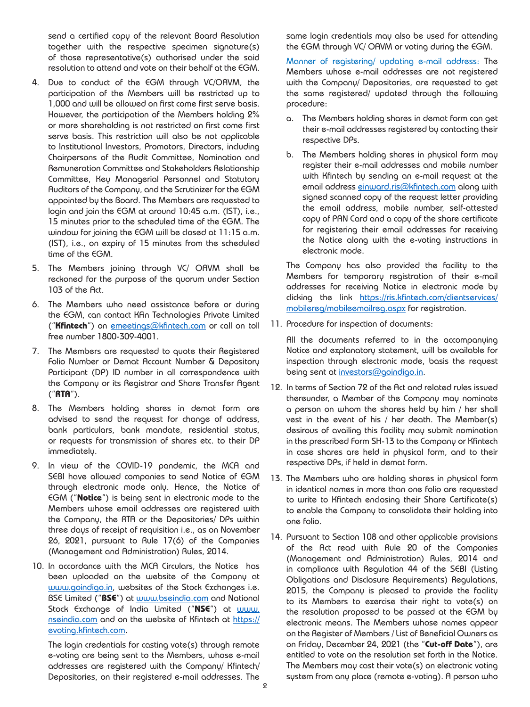send a certified copy of the relevant Board Resolution together with the respective specimen signature(s) of those representative(s) authorised under the said resolution to attend and vote on their behalf at the EGM.

- 4. Due to conduct of the EGM through VC/OAVM, the participation of the Members will be restricted up to 1,000 and will be allowed on first come first serve basis. However, the participation of the Members holding 2% or more shareholding is not restricted on first come first serve basis. This restriction will also be not applicable to Institutional Investors, Promotors, Directors, including Chairpersons of the Audit Committee, Nomination and Remuneration Committee and Stakeholders Relationship Committee, Key Managerial Personnel and Statutory Auditors of the Company, and the Scrutinizer for the EGM appointed by the Board. The Members are requested to login and join the EGM at around 10:45 a.m. (IST), i.e., 15 minutes prior to the scheduled time of the EGM. The window for joining the EGM will be closed at 11:15 a.m. (IST), i.e., on expiry of 15 minutes from the scheduled time of the EGM.
- 5. The Members joining through VC/ OAVM shall be reckoned for the purpose of the quorum under Section 103 of the Act.
- 6. The Members who need assistance before or during the EGM, can contact KFin Technologies Private Limited ("**Kfintech**") on [emeetings@kfintech.com](mailto:emeetings%40kfintech.com?subject=) or call on toll free number 1800-309-4001.
- 7. The Members are requested to quote their Registered Folio Number or Demat Account Number & Depository Participant (DP) ID number in all correspondence with the Company or its Registrar and Share Transfer Agent ("**RTA**").
- 8. The Members holding shares in demat form are advised to send the request for change of address, bank particulars, bank mandate, residential status, or requests for transmission of shares etc. to their DP immediately.
- 9. In view of the COVID-19 pandemic, the MCA and SEBI have allowed companies to send Notice of EGM through electronic mode only. Hence, the Notice of EGM ("**Notice**") is being sent in electronic mode to the Members whose email addresses are registered with the Company, the RTA or the Depositories/ DPs within three days of receipt of requisition i.e., as on November 26, 2021, pursuant to Rule 17(6) of the Companies (Management and Administration) Rules, 2014.
- 10. In accordance with the MCA Circulars, the Notice has been uploaded on the website of the Company at [www.goindigo.in](http://www.goindigo.in), websites of the Stock Exchanges i.e. BSE Limited ("**BSE**") at [www.bseindia.com](http://www.bseindia.com) and National Stock Exchange of India Limited ("**NSE**") at [www.](http://www.nseindia.com) [nseindia.com](http://www.nseindia.com) and on the website of Kfintech at [https://](https://evoting.kfintech.com) [evoting.kfintech.com](https://evoting.kfintech.com).

The login credentials for casting vote(s) through remote e-voting are being sent to the Members, whose e-mail addresses are registered with the Company/ Kfintech/ Depositories, on their registered e-mail addresses. The

same login credentials may also be used for attending the EGM through VC/ OAVM or voting during the EGM.

Manner of registering/ updating e-mail address: The Members whose e-mail addresses are not registered with the Company/ Depositories, are requested to get the same registered/ updated through the following procedure:

- a. The Members holding shares in demat form can get their e-mail addresses registered by contacting their respective DPs.
- b. The Members holding shares in physical form may register their e-mail addresses and mobile number with Kfintech by sending an e-mail request at the email address [einward.ris@kfintech.com](mailto:einward.ris%40kfintech.com?subject=) along with signed scanned copy of the request letter providing the email address, mobile number, self-attested copy of PAN Card and a copy of the share certificate for registering their email addresses for receiving the Notice along with the e-voting instructions in electronic mode.

The Company has also provided the facility to the Members for temporary registration of their e-mail addresses for receiving Notice in electronic mode by clicking the link [https://ris.kfintech.com/clientservices/](https://ris.kfintech.com/clientservices/mobilereg/mobileemailreg.aspx) [mobilereg/mobileemailreg.aspx](https://ris.kfintech.com/clientservices/mobilereg/mobileemailreg.aspx) for registration.

11. Procedure for inspection of documents:

All the documents referred to in the accompanying Notice and explanatory statement, will be available for inspection through electronic mode, basis the request being sent at [investors@goindigo.in](mailto:investors%40goindigo.in?subject=).

- 12. In terms of Section 72 of the Act and related rules issued thereunder, a Member of the Company may nominate a person on whom the shares held by him / her shall vest in the event of his / her death. The Member(s) desirous of availing this facility may submit nomination in the prescribed Form SH-13 to the Company or Kfintech in case shares are held in physical form, and to their respective DPs, if held in demat form.
- 13. The Members who are holding shares in physical form in identical names in more than one folio are requested to write to Kfintech enclosing their Share Certificate(s) to enable the Company to consolidate their holding into one folio.
- 14. Pursuant to Section 108 and other applicable provisions of the Act read with Rule 20 of the Companies (Management and Administration) Rules, 2014 and in compliance with Regulation 44 of the SEBI (Listing Obligations and Disclosure Requirements) Regulations, 2015, the Company is pleased to provide the facility to its Members to exercise their right to vote(s) on the resolution proposed to be passed at the EGM by electronic means. The Members whose names appear on the Register of Members / List of Beneficial Owners as on Friday, December 24, 2021 (the "**Cut-off Date**"), are entitled to vote on the resolution set forth in the Notice. The Members may cast their vote(s) on electronic voting system from any place (remote e-voting). A person who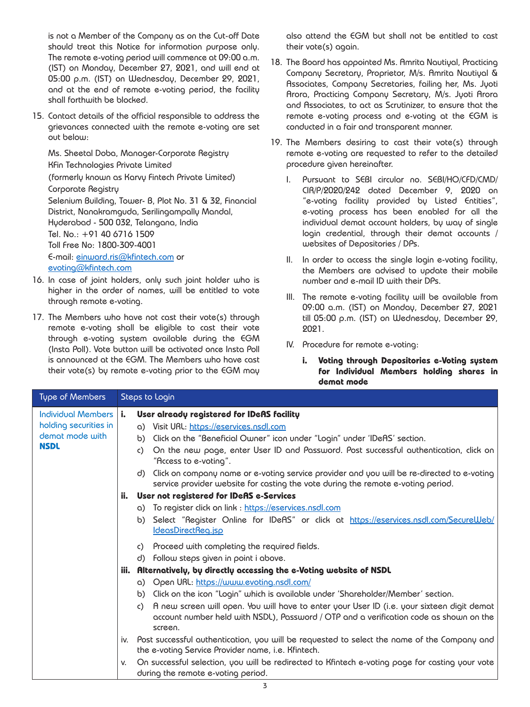is not a Member of the Company as on the Cut-off Date should treat this Notice for information purpose only. The remote e-voting period will commence at 09:00 a.m. (IST) on Monday, December 27, 2021, and will end at 05:00 p.m. (IST) on Wednesday, December 29, 2021, and at the end of remote e-voting period, the facility shall forthwith be blocked.

15. Contact details of the official responsible to address the grievances connected with the remote e-voting are set out below:

Ms. Sheetal Doba, Manager-Corporate Registry KFin Technologies Private Limited (formerly known as Karvy Fintech Private Limited) Corporate Registry Selenium Building, Tower- B, Plot No. 31 & 32, Financial District, Nanakramguda, Serilingampally Mandal, Hyderabad - 500 032, Telangana, India Tel. No.: +91 40 6716 1509 Toll Free No: 1800-309-4001 E-mail: [einward.ris@kfintech.com](mailto:einward.ris%40kfintech.com?subject=) or [evoting@kfintech.com](mailto:evoting%40kfintech.com?subject=)

- 16. In case of joint holders, only such joint holder who is higher in the order of names, will be entitled to vote through remote e-voting.
- 17. The Members who have not cast their vote(s) through remote e-voting shall be eligible to cast their vote through e-voting system available during the EGM (Insta Poll). Vote button will be activated once Insta Poll is announced at the EGM. The Members who have cast their vote(s) by remote e-voting prior to the EGM may

also attend the EGM but shall not be entitled to cast their vote(s) again.

- 18. The Board has appointed Ms. Amrita Nautiyal, Practicing Company Secretary, Proprietor, M/s. Amrita Nautiyal & Associates, Company Secretaries, failing her, Ms. Jyoti Arora, Practicing Company Secretary, M/s. Jyoti Arora and Associates, to act as Scrutinizer, to ensure that the remote e-voting process and e-voting at the EGM is conducted in a fair and transparent manner.
- 19. The Members desiring to cast their vote(s) through remote e-voting are requested to refer to the detailed procedure given hereinafter.
	- I. Pursuant to SEBI circular no. SEBI/HO/CFD/CMD/ CIR/P/2020/242 dated December 9, 2020 on "e-voting facility provided by Listed Entities", e-voting process has been enabled for all the individual demat account holders, by way of single login credential, through their demat accounts / websites of Depositories / DPs.
	- II. In order to access the single login e-voting facility, the Members are advised to update their mobile number and e-mail ID with their DPs.
	- III. The remote e-voting facility will be available from 09:00 a.m. (IST) on Monday, December 27, 2021 till 05:00 p.m. (IST) on Wednesday, December 29, 2021.
	- IV. Procedure for remote e-voting:
		- **i. Voting through Depositories e-Voting system for Individual Members holding shares in demat mode**

| Type of Members                                                                      | Steps to Login                                                                                                                                                                                                                                                                                                                                                                                                                                                                                 |
|--------------------------------------------------------------------------------------|------------------------------------------------------------------------------------------------------------------------------------------------------------------------------------------------------------------------------------------------------------------------------------------------------------------------------------------------------------------------------------------------------------------------------------------------------------------------------------------------|
| <b>Individual Members</b><br>holding securities in<br>demat mode with<br><b>NSDL</b> | User already registered for IDeAS facility<br>i.<br>a) Visit URL: https://eservices.nsdl.com<br>Click on the "Beneficial Owner" icon under "Login" under 'IDeAS' section.<br>b)<br>On the new page, enter User ID and Password. Post successful authentication, dick on<br>C)<br>"Access to e-voting".<br>Click on company name or e-voting service provider and you will be re-directed to e-voting<br>d)<br>service provider website for casting the vote during the remote e-voting period. |
|                                                                                      | User not registered for IDeAS e-Services<br>ii.<br>a) To register click on link : https://eservices.nsdl.com<br>b) Select "Register Online for IDeAS" or click at https://eservices.nsdl.com/SecureWeb/<br>IdeasDirectReg.jsp                                                                                                                                                                                                                                                                  |
|                                                                                      | c) Proceed with completing the required fields.<br>d) Follow steps given in point i above.<br>iii. Alternatively, by directly accessing the e-Voting website of NSDL                                                                                                                                                                                                                                                                                                                           |
|                                                                                      | a) Open URL: https://www.evoting.nsdl.com/<br>b) Click on the icon "Login" which is available under 'Shareholder/Member' section.<br>A new screen will open. You will have to enter your User ID (i.e. your sixteen digit demat<br>$\mathsf{C}$<br>account number held with NSDL), Password / OTP and a verification code as shown on the<br>screen.                                                                                                                                           |
|                                                                                      | Post successful authentication, you will be requested to select the name of the Company and<br>iv.<br>the e-voting Service Provider name, i.e. Kfintech.                                                                                                                                                                                                                                                                                                                                       |
|                                                                                      | On successful selection, you will be redirected to Kfintech e-voting page for casting your vote<br>V.<br>during the remote e-voting period.                                                                                                                                                                                                                                                                                                                                                    |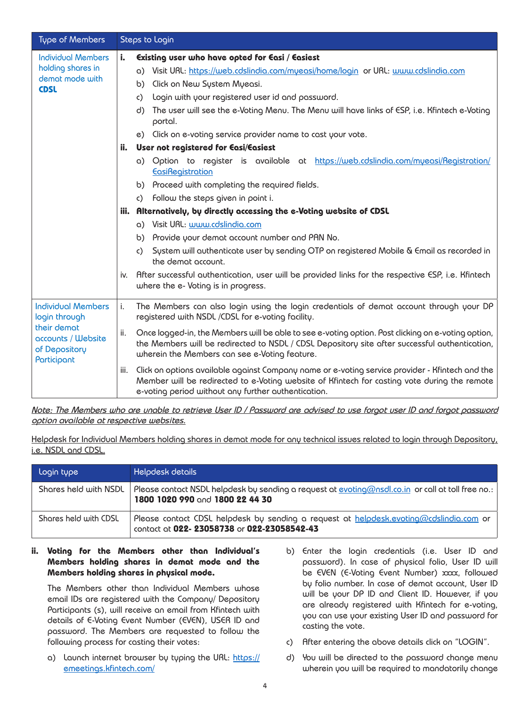| Type of Members                                                                                                 | Steps to Login                                                                                                                                                                                                                                                                                                                                                                                                                                                                                                                                                                                                                                                                       |
|-----------------------------------------------------------------------------------------------------------------|--------------------------------------------------------------------------------------------------------------------------------------------------------------------------------------------------------------------------------------------------------------------------------------------------------------------------------------------------------------------------------------------------------------------------------------------------------------------------------------------------------------------------------------------------------------------------------------------------------------------------------------------------------------------------------------|
| <b>Individual Members</b><br>holding shares in<br>demat mode with<br><b>CDSL</b>                                | i.<br>Existing user who have opted for Easi / Easiest<br>a) Visit URL: https://web.cdslindia.com/myeasi/home/login or URL: www.cdslindia.com<br>Click on New System Myeasi.<br>b)<br>Login with your registered user id and password.<br>C)<br>The user will see the e-Voting Menu. The Menu will have links of ESP, i.e. Kfintech e-Voting<br>d)<br>portal.<br>e) Click on e-voting service provider name to cast your vote.<br>User not registered for Easi/Easiest<br>ii.                                                                                                                                                                                                         |
|                                                                                                                 | a) Option to register is available at https://web.cdslindia.com/myeasi/Registration/<br><b>EasiRegistration</b><br>b) Proceed with completing the required fields.<br>c) Follow the steps given in point i.<br>Alternatively, by directly accessing the e-Voting website of CDSL<br>iii.<br>a) Visit URL: www.cdslindia.com<br>b) Provide your demat account number and PAN No.<br>System will authenticate user by sending OTP on registered Mobile & Email as recorded in<br>$\mathsf{c}$ )<br>the demat account.<br>After successful outhenticotion, user will be provided links for the respective ESP, i.e. Kfintech<br>İV.<br>where the e- Voting is in progress.              |
| <b>Individual Members</b><br>login through<br>their demat<br>accounts / Website<br>of Depository<br>Participant | i.<br>The Members can also login using the login credentials of demat account through your DP<br>registered with NSDL /CDSL for e-voting facility.<br>ii.<br>Once logged-in, the Members will be able to see e-voting option. Post clicking on e-voting option,<br>the Members will be redirected to NSDL / CDSL Depository site after successful authentication,<br>wherein the Members can see e-Voting feature.<br>Click on options available against Company name or e-voting service provider - Kfintech and the<br>iii.<br>Member will be redirected to e-Voting website of Kfintech for casting vote during the remote<br>e-voting period without any further authentication. |

*Note: The Members who are unable to retrieve User ID / Password are advised to use forgot user ID and forgot password option available at respective websites.*

Helpdesk for Individual Members holding shares in demat mode for any technical issues related to login through Depository, i.e. NSDL and CDSL.

| Login type            | Helpdesk details                                                                                                                     |
|-----------------------|--------------------------------------------------------------------------------------------------------------------------------------|
| Shares held with NSDL | Please contact NSDL helpdesk by sending a request at evoting@nsdl.co.in or call at toll free no.:<br>1800 1020 990 and 1800 22 44 30 |
| Shares held with CDSL | Please contact CDSL helpdesk by sending a request at helpdesk.evoting@cdslindia.com or<br>contact at 022-23058738 or 022-23058542-43 |

### **ii. Voting for the Members other than Individual's Members holding shares in demat mode and the Members holding shares in physical mode.**

The Members other than Individual Members whose email IDs are registered with the Company/ Depository Participants (s), will receive an email from Kfintech with details of E-Voting Event Number (EVEN), USER ID and password. The Members are requested to follow the following process for casting their votes:

- a) Launch internet browser by typing the URL: [https://](https://emeetings.kfintech.com/) [emeetings.kfintech.com/](https://emeetings.kfintech.com/)
- b) Enter the login credentials (i.e. User ID and password). In case of physical folio, User ID will be EVEN (E-Voting Event Number) xxx, followed by folio number. In case of demat account, User ID will be your DP ID and Client ID. However, if you are already registered with Kfintech for e-voting, you can use your existing User ID and password for casting the vote.
- c) After entering the above details click on "LOGIN".
- d) You will be directed to the password change menu wherein you will be required to mandatorily change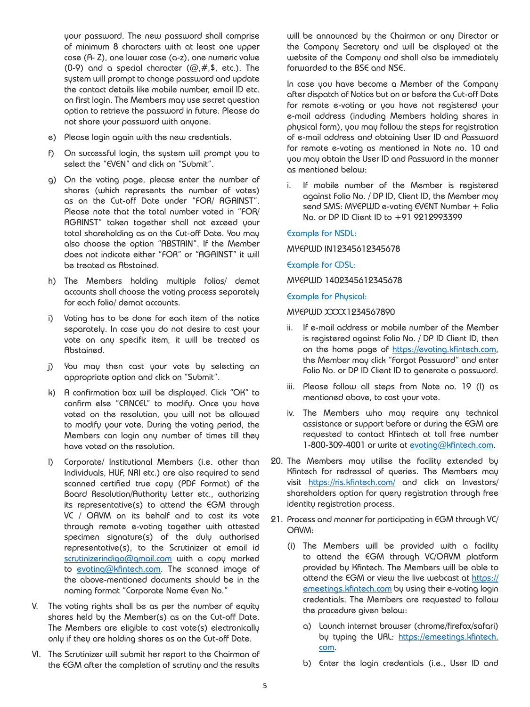your password. The new password shall comprise of minimum 8 characters with at least one upper case (A- Z), one lower case (a-z), one numeric value (0-9) and a special character  $(Q, #, $, etc.).$  The system will prompt to change password and update the contact details like mobile number, email ID etc. on first login. The Members may use secret question option to retrieve the password in future. Please do not share your password with anyone.

- e) Please login again with the new credentials.
- f) On successful login, the system will prompt you to select the "EVEN" and click on "Submit".
- g) On the voting page, please enter the number of shares (which represents the number of votes) as on the Cut-off Date under "FOR/ AGAINST". Please note that the total number voted in "FOR/ AGAINST" taken together shall not exceed your total shareholding as on the Cut-off Date. You may also choose the option "ABSTAIN". If the Member does not indicate either "FOR" or "AGAINST" it will be treated as Abstained.
- h) The Members holding multiple folios/ demat accounts shall choose the voting process separately for each folio/ demat accounts.
- i) Voting has to be done for each item of the notice separately. In case you do not desire to cast your vote on any specific item, it will be treated as Abstained.
- j) You may then cast your vote by selecting an appropriate option and click on "Submit".
- k) A confirmation box will be displayed. Click "OK" to confirm else "CANCEL" to modify. Once you have voted on the resolution, you will not be allowed to modify your vote. During the voting period, the Members can login any number of times till they have voted on the resolution.
- l) Corporate/ Institutional Members (i.e. other than Individuals, HUF, NRI etc.) are also required to send scanned certified true copy (PDF Format) of the Board Resolution/Authority Letter etc., authorizing its representative(s) to attend the EGM through VC / OAVM on its behalf and to cast its vote through remote e-voting together with attested specimen signature(s) of the duly authorised representative(s), to the Scrutinizer at email id [scrutinizerindigo@gmail.com](mailto:scrutinizerindigo%40gmail.com?subject=) with a copy marked to [evoting@kfintech.com.](mailto:evoting@kfintech.com) The scanned image of the above-mentioned documents should be in the naming format "Corporate Name Even No."
- V. The voting rights shall be as per the number of equity shares held by the Member(s) as on the Cut-off Date. The Members are eligible to cast vote(s) electronically only if they are holding shares as on the Cut-off Date.
- VI. The Scrutinizer will submit her report to the Chairman of the EGM after the completion of scrutiny and the results

will be announced by the Chairman or any Director or the Company Secretary and will be displayed at the website of the Company and shall also be immediately forwarded to the BSE and NSE.

In case you have become a Member of the Company after dispatch of Notice but on or before the Cut-off Date for remote e-voting or you have not registered your e-mail address (including Members holding shares in physical form), you may follow the steps for registration of e-mail address and obtaining User ID and Password for remote e-voting as mentioned in Note no. 10 and you may obtain the User ID and Password in the manner as mentioned below:

i. If mobile number of the Member is registered against Folio No. / DP ID, Client ID, the Member may send SMS: MYEPWD e-voting EVENT Number + Folio No. or DP ID Client ID to +91 9212993399

#### Example for NSDL:

MYEPWD IN12345612345678

Example for CDSL:

MYEPWD 1402345612345678

Example for Physical:

#### MYEPWD XXXX1234567890

- ii. If e-mail address or mobile number of the Member is registered against Folio No. / DP ID Client ID, then on the home page of [https://evoting.kfintech.com,](https://evoting.kfintech.com) the Member may click "Forgot Password" and enter Folio No. or DP ID Client ID to generate a password.
- iii. Please follow all steps from Note no. 19 (I) as mentioned above, to cast your vote.
- iv. The Members who may require any technical assistance or support before or during the EGM are requested to contact Kfintech at toll free number 1-800-309-4001 or write at [evoting@kfintech.com](mailto:evoting%40kfintech.com?subject=).
- 20. The Members may utilise the facility extended by Kfintech for redressal of queries. The Members may visit <https://ris.kfintech.com/>and click on Investors/ shareholders option for query registration through free identity registration process.
- 21. Process and manner for participating in EGM through VC/ OAVM:
	- (i) The Members will be provided with a facility to attend the EGM through VC/OAVM platform provided by Kfintech. The Members will be able to attend the EGM or view the live webcast at [https://](https://emeetings.kfintech.com) [emeetings.kfintech.com](https://emeetings.kfintech.com) by using their e-voting login credentials. The Members are requested to follow the procedure given below:
		- a) Launch internet browser (chrome/firefox/safari) by typing the URL: [https://emeetings.kfintech.](https://emeetings.kfintech.com) [com.](https://emeetings.kfintech.com)
		- b) Enter the login credentials (i.e., User ID and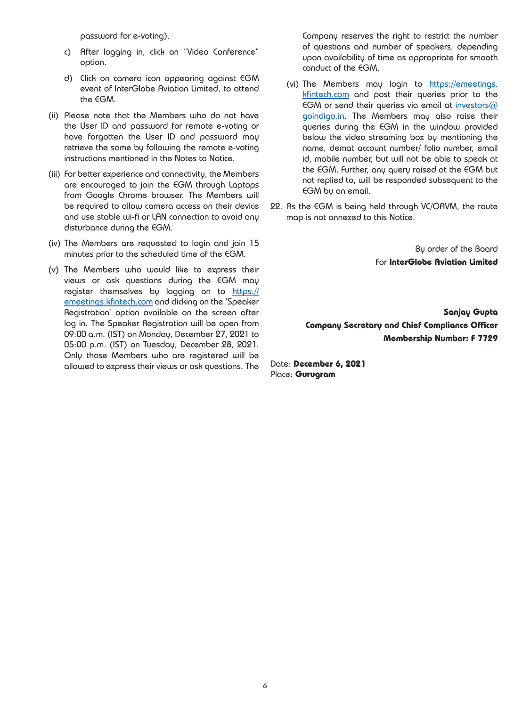password for e-voting).

- c) After logging in, click on "Video Conference" option.
- d) Click on camera icon appearing against EGM event of InterGlobe Aviation Limited, to attend the EGM.
- (ii) Please note that the Members who do not have the User ID and password for remote e-voting or have forgotten the User ID and password may retrieve the same by following the remote e-voting instructions mentioned in the Notes to Notice.
- (iii) For better experience and connectivity, the Members are encouraged to join the EGM through Laptops from Google Chrome browser. The Members will be required to allow camera access on their device and use stable wi-fi or LAN connection to avoid any disturbance during the EGM.
- (iv) The Members are requested to login and join 15 minutes prior to the scheduled time of the EGM.
- (v) The Members who would like to express their views or ask questions during the EGM may register themselves by logging on to [https://](https://emeetings.kfintech.com) [emeetings.kfintech.com](https://emeetings.kfintech.com) and clicking on the 'Speaker Registration' option available on the screen after log in. The Speaker Registration will be open from 09:00 a.m. (IST) on Monday, December 27, 2021 to 05:00 p.m. (IST) on Tuesday, December 28, 2021. Only those Members who are registered will be allowed to express their views or ask questions. The

Company reserves the right to restrict the number of questions and number of speakers, depending upon availability of time as appropriate for smooth conduct of the EGM.

- (vi) The Members may login to [https://emeetings.](https://emeetings.kfintech.com) [kfintech.com](https://emeetings.kfintech.com) and post their queries prior to the EGM or send their queries via email at [investors@](mailto:investors%40goindigo.in?subject=) [goindigo.in.](mailto:investors%40goindigo.in?subject=) The Members may also raise their queries during the EGM in the window provided below the video streaming box by mentioning the name, demat account number/ folio number, email id, mobile number, but will not be able to speak at the EGM. Further, any query raised at the EGM but not replied to, will be responded subsequent to the EGM by an email.
- 22. As the EGM is being held through VC/OAVM, the route map is not annexed to this Notice.

By order of the Board For **InterGlobe Aviation Limited**

**Sanjay Gupta Company Secretary and Chief Compliance Officer Membership Number: F 7729**

Date: **December 6, 2021** Place: **Gurugram**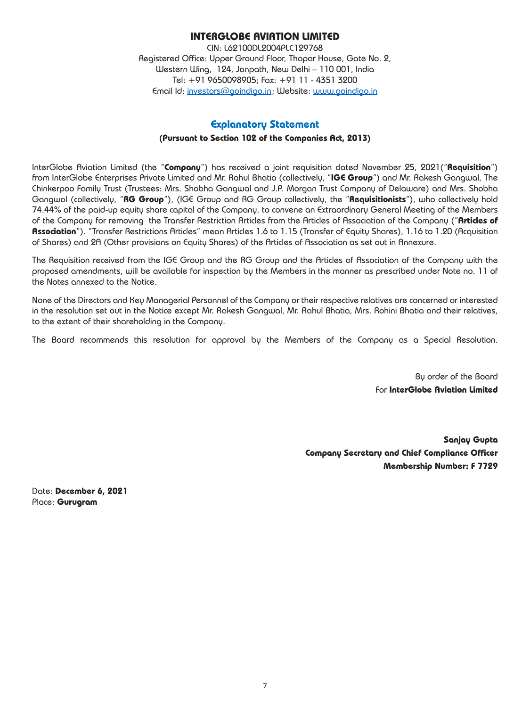## **INTERGLOBE AVIATION LIMITED**

CIN: L62100DL2004PLC129768 Registered Office: Upper Ground Floor, Thapar House, Gate No. 2, Western Wing, 124, Janpath, New Delhi – 110 001, India Tel: +91 9650098905; Fax: +91 11 - 4351 3200 Email Id: [investors@goindigo.in](mailto:investors%40goindigo.in?subject=) ; Website: [www.goindigo.in](http://www.goindigo.in)

## **Explanatory Statement**

#### **(Pursuant to Section 102 of the Companies Act, 2013)**

InterGlobe Aviation Limited (the "**Company**") has received a joint requisition dated November 25, 2021("**Requisition**") from InterGlobe Enterprises Private Limited and Mr. Rahul Bhatia (collectively, "**IGE Group**") and Mr. Rakesh Gangwal, The Chinkerpoo Family Trust (Trustees: Mrs. Shobha Gangwal and J.P. Morgan Trust Company of Delaware) and Mrs. Shobha Gangwal (collectively, "**RG Group**"), (IGE Group and RG Group collectively, the "**Requisitionists**"), who collectively hold 74.44% of the paid-up equity share capital of the Company, to convene an Extraordinary General Meeting of the Members of the Company for removing the Transfer Restriction Articles from the Articles of Association of the Company ("**Articles of Association**"). "Transfer Restrictions Articles" mean Articles 1.6 to 1.15 (Transfer of Equity Shares), 1.16 to 1.20 (Acquisition of Shares) and 2A (Other provisions on Equity Shares) of the Articles of Association as set out in Annexure.

The Requisition received from the IGE Group and the RG Group and the Articles of Association of the Company with the proposed amendments, will be available for inspection by the Members in the manner as prescribed under Note no. 11 of the Notes annexed to the Notice.

None of the Directors and Key Managerial Personnel of the Company or their respective relatives are concerned or interested in the resolution set out in the Notice except Mr. Rakesh Gangwal, Mr. Rahul Bhatia, Mrs. Rohini Bhatia and their relatives, to the extent of their shareholding in the Company.

The Board recommends this resolution for approval by the Members of the Company as a Special Resolution.

By order of the Board For **InterGlobe Aviation Limited**

**Sanjay Gupta Company Secretary and Chief Compliance Officer Membership Number: F 7729**

Date: **December 6, 2021**  Place: **Gurugram**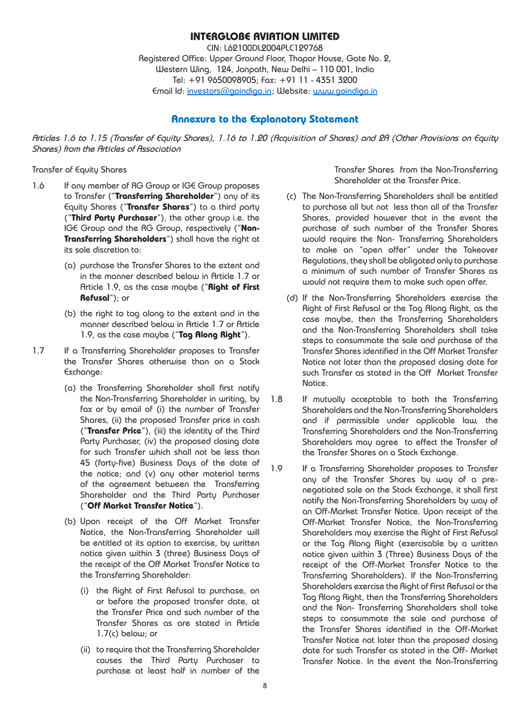### **INTERGLOBE AVIATION LIMITED**

CIN: L62100DL2004PLC129768 Registered Office: Upper Ground Floor, Thapar House, Gate No. 2, Western Wing, 124, Janpath, New Delhi – 110 001, India Tel: +91 9650098905; Fax: +91 11 - 4351 3200 Email Id: [investors@goindigo.in](mailto:investors%40goindigo.in?subject=) ; Website: [www.goindigo.in](http://www.goindigo.in)

### **Annexure to the Explanatory Statement**

*Articles 1.6 to 1.15 (Transfer of Equity Shares), 1.16 to 1.20 (Acquisition of Shares) and 2A (Other Provisions on Equity Shares) from the Articles of Association*

#### Transfer of Equity Shares

- 1.6 If any member of RG Group or IGE Group proposes to Transfer ("**Transferring Shareholder**") any of its Equity Shares ("**Transfer Shares**") to a third party ("**Third Party Purchaser**"), the other group i.e. the IGE Group and the RG Group, respectively ("**Non-Transferring Shareholders**") shall have the right at its sole discretion to:
	- (a) purchase the Transfer Shares to the extent and in the manner described below in Article 1.7 or Article 1.9, as the case maybe ("**Right of First Refusal**"); or
	- (b) the right to tag along to the extent and in the manner described below in Article 1.7 or Article 1.9, as the case maybe ("**Tag Along Right**").
- 1.7 If a Transferring Shareholder proposes to Transfer the Transfer Shares otherwise than on a Stock Exchange:
	- (a) the Transferring Shareholder shall first notify the Non-Transferring Shareholder in writing, by fax or by email of (i) the number of Transfer Shares, (ii) the proposed Transfer price in cash ("**Transfer Price**"), (iii) the identity of the Third Party Purchaser, (iv) the proposed closing date for such Transfer which shall not be less than 45 (forty-five) Business Days of the date of the notice; and (v) any other material terms of the agreement between the Transferring Shareholder and the Third Party Purchaser ("**Off Market Transfer Notice**").
	- (b) Upon receipt of the Off Market Transfer Notice, the Non-Transferring Shareholder will be entitled at its option to exercise, by written notice given within 3 (three) Business Days of the receipt of the Off Market Transfer Notice to the Transferring Shareholder:
		- (i) the Right of First Refusal to purchase, on or before the proposed transfer date, at the Transfer Price and such number of the Transfer Shares as are stated in Article 1.7(c) below; or
		- (ii) to require that the Transferring Shareholder causes the Third Party Purchaser to purchase at least half in number of the

Transfer Shares from the Non-Transferring Shareholder at the Transfer Price.

- (c) The Non-Transferring Shareholders shall be entitled to purchase all but not less than all of the Transfer Shares, provided however that in the event the purchase of such number of the Transfer Shares would require the Non- Transferring Shareholders to make an "open offer" under the Takeover Regulations, they shall be obligated only to purchase a minimum of such number of Transfer Shares as would not require them to make such open offer.
- (d) If the Non-Transferring Shareholders exercise the Right of First Refusal or the Tag Along Right, as the case maybe, then the Transferring Shareholders and the Non-Transferring Shareholders shall take steps to consummate the sale and purchase of the Transfer Shares identified in the Off Market Transfer Notice not later than the proposed closing date for such Transfer as stated in the Off Market Transfer Notice.
- 1.8 If mutually acceptable to both the Transferring Shareholders and the Non-Transferring Shareholders and if permissible under applicable law, the Transferring Shareholders and the Non-Transferring Shareholders may agree to effect the Transfer of the Transfer Shares on a Stock Exchange.
- 1.9 If a Transferring Shareholder proposes to Transfer any of the Transfer Shares by way of a prenegotiated sale on the Stock Exchange, it shall first notify the Non-Transferring Shareholders by way of an Off-Market Transfer Notice. Upon receipt of the Off-Market Transfer Notice, the Non-Transferring Shareholders may exercise the Right of First Refusal or the Tag Along Right (exercisable by a written notice given within 3 (Three) Business Days of the receipt of the Off-Market Transfer Notice to the Transferring Shareholders). If the Non-Transferring Shareholders exercise the Right of First Refusal or the Tag Along Right, then the Transferring Shareholders and the Non- Transferring Shareholders shall take steps to consummate the sale and purchase of the Transfer Shares identified in the Off-Market Transfer Notice not later than the proposed closing date for such Transfer as stated in the Off- Market Transfer Notice. In the event the Non-Transferring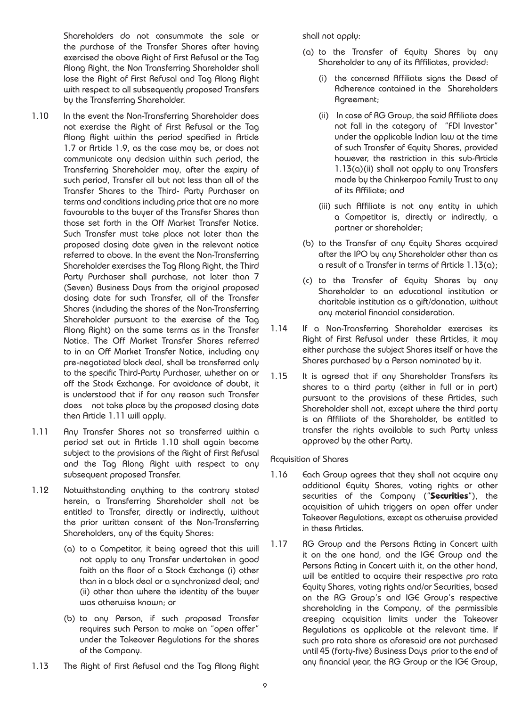Shareholders do not consummate the sale or the purchase of the Transfer Shares after having exercised the above Right of First Refusal or the Tag Along Right, the Non Transferring Shareholder shall lose the Right of First Refusal and Tag Along Right with respect to all subsequently proposed Transfers by the Transferring Shareholder.

- 1.10 In the event the Non-Transferring Shareholder does not exercise the Right of First Refusal or the Tag Along Right within the period specified in Article 1.7 or Article 1.9, as the case may be, or does not communicate any decision within such period, the Transferring Shareholder may, after the expiry of such period, Transfer all but not less than all of the Transfer Shares to the Third- Party Purchaser on terms and conditions including price that are no more favourable to the buyer of the Transfer Shares than those set forth in the Off Market Transfer Notice. Such Transfer must take place not later than the proposed closing date given in the relevant notice referred to above. In the event the Non-Transferring Shareholder exercises the Tag Along Right, the Third Party Purchaser shall purchase, not later than 7 (Seven) Business Days from the original proposed closing date for such Transfer, all of the Transfer Shares (including the shares of the Non-Transferring Shareholder pursuant to the exercise of the Tag Along Right) on the same terms as in the Transfer Notice. The Off Market Transfer Shares referred to in an Off Market Transfer Notice, including any pre-negotiated block deal, shall be transferred only to the specific Third-Party Purchaser, whether on or off the Stock Exchange. For avoidance of doubt, it is understood that if for any reason such Transfer does not take place by the proposed closing date then Article 1.11 will apply.
- 1.11 Any Transfer Shares not so transferred within a period set out in Article 1.10 shall again become subject to the provisions of the Right of First Refusal and the Tag Along Right with respect to any subsequent proposed Transfer.
- 1.12 Notwithstanding anything to the contrary stated herein, a Transferring Shareholder shall not be entitled to Transfer, directly or indirectly, without the prior written consent of the Non-Transferring Shareholders, any of the Equity Shares:
	- (a) to a Competitor, it being agreed that this will not apply to any Transfer undertaken in good faith on the floor of a Stock Exchange (i) other than in a block deal or a synchronized deal; and (ii) other than where the identity of the buyer was otherwise known; or
	- (b) to any Person, if such proposed Transfer requires such Person to make an "open offer" under the Takeover Regulations for the shares of the Company.
- 1.13 The Right of First Refusal and the Tag Along Right

shall not apply:

- (a) to the Transfer of Equity Shares by any Shareholder to any of its Affiliates, provided:
	- (i) the concerned Affiliate signs the Deed of Adherence contained in the Shareholders Agreement;
	- (ii) In case of RG Group, the said Affiliate does not fall in the category of "FDI Investor" under the applicable Indian law at the time of such Transfer of Equity Shares, provided however, the restriction in this sub-Article 1.13(a)(ii) shall not apply to any Transfers made by the Chinkerpoo Family Trust to any of its Affiliate; and
	- (iii) such Affiliate is not any entity in which a Competitor is, directly or indirectly, a partner or shareholder;
- (b) to the Transfer of any Equity Shares acquired after the IPO by any Shareholder other than as a result of a Transfer in terms of Article 1.13(a);
- (c) to the Transfer of Equity Shares by any Shareholder to an educational institution or charitable institution as a gift/donation, without any material financial consideration.
- 1.14 If a Non-Transferring Shareholder exercises its Right of First Refusal under these Articles, it may either purchase the subject Shares itself or have the Shares purchased by a Person nominated by it.
- 1.15 It is agreed that if any Shareholder Transfers its shares to a third party (either in full or in part) pursuant to the provisions of these Articles, such Shareholder shall not, except where the third party is an Affiliate of the Shareholder, be entitled to transfer the rights available to such Party unless approved by the other Party.

Acquisition of Shares

- 1.16 Fach Group agrees that they shall not acquire any additional Equity Shares, voting rights or other securities of the Company ("**Securities**"), the acquisition of which triggers an open offer under Takeover Regulations, except as otherwise provided in these Articles.
- 1.17 RG Group and the Persons Acting in Concert with it on the one hand, and the IGE Group and the Persons Acting in Concert with it, on the other hand, will be entitled to acquire their respective pro rata Equity Shares, voting rights and/or Securities, based on the RG Group's and IGE Group's respective shareholding in the Company, of the permissible creeping acquisition limits under the Takeover Regulations as applicable at the relevant time. If such pro rata share as aforesaid are not purchased until 45 (forty-five) Business Days prior to the end of any financial year, the RG Group or the IGE Group,